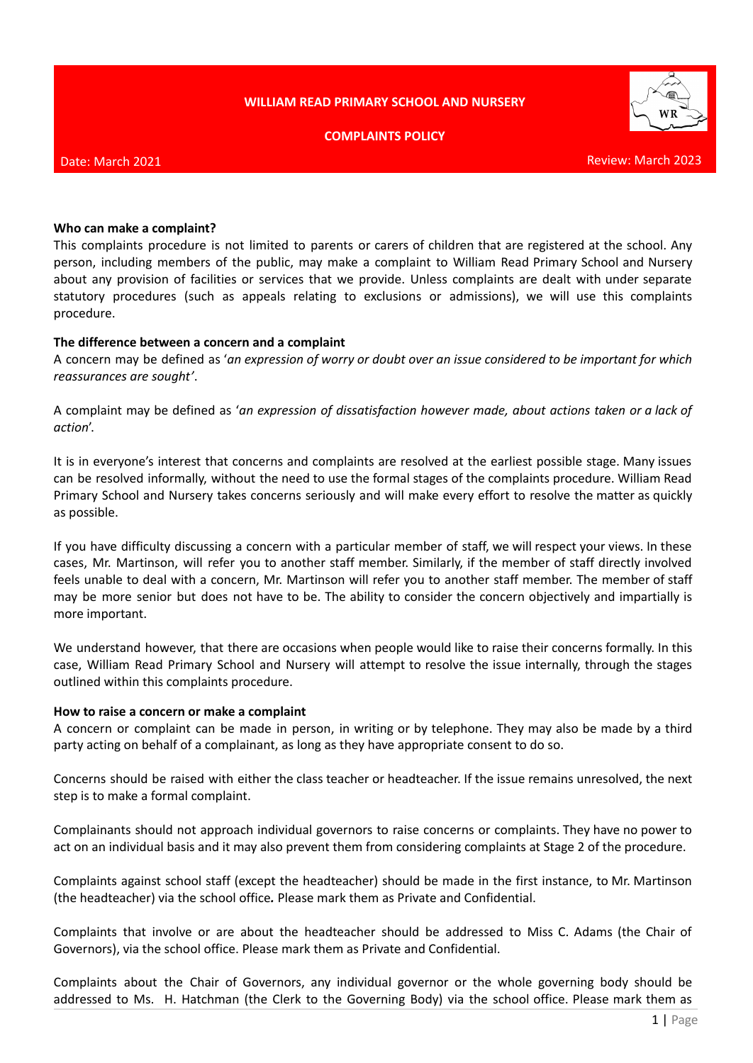## **WILLIAM READ PRIMARY SCHOOL AND NURSERY**

**COMPLAINTS POLICY**



#### Date: March 2021

#### **Who can make a complaint?**

This complaints procedure is not limited to parents or carers of children that are registered at the school. Any person, including members of the public, may make a complaint to William Read Primary School and Nursery about any provision of facilities or services that we provide. Unless complaints are dealt with under separate statutory procedures (such as appeals relating to exclusions or admissions), we will use this complaints procedure.

#### **The difference between a concern and a complaint**

A concern may be defined as '*an expression of worry or doubt over an issue considered to be important for which reassurances are sought'*.

A complaint may be defined as '*an expression of dissatisfaction however made, about actions taken or a lack of action*'.

It is in everyone's interest that concerns and complaints are resolved at the earliest possible stage. Many issues can be resolved informally, without the need to use the formal stages of the complaints procedure. William Read Primary School and Nursery takes concerns seriously and will make every effort to resolve the matter as quickly as possible.

If you have difficulty discussing a concern with a particular member of staff, we will respect your views. In these cases, Mr. Martinson, will refer you to another staff member. Similarly, if the member of staff directly involved feels unable to deal with a concern, Mr. Martinson will refer you to another staff member. The member of staff may be more senior but does not have to be. The ability to consider the concern objectively and impartially is more important.

We understand however, that there are occasions when people would like to raise their concerns formally. In this case, William Read Primary School and Nursery will attempt to resolve the issue internally, through the stages outlined within this complaints procedure.

#### **How to raise a concern or make a complaint**

A concern or complaint can be made in person, in writing or by telephone. They may also be made by a third party acting on behalf of a complainant, as long as they have appropriate consent to do so.

Concerns should be raised with either the class teacher or headteacher. If the issue remains unresolved, the next step is to make a formal complaint.

Complainants should not approach individual governors to raise concerns or complaints. They have no power to act on an individual basis and it may also prevent them from considering complaints at Stage 2 of the procedure.

Complaints against school staff (except the headteacher) should be made in the first instance, to Mr. Martinson (the headteacher) via the school office*.* Please mark them as Private and Confidential.

Complaints that involve or are about the headteacher should be addressed to Miss C. Adams (the Chair of Governors), via the school office. Please mark them as Private and Confidential.

Complaints about the Chair of Governors, any individual governor or the whole governing body should be addressed to Ms. H. Hatchman (the Clerk to the Governing Body) via the school office. Please mark them as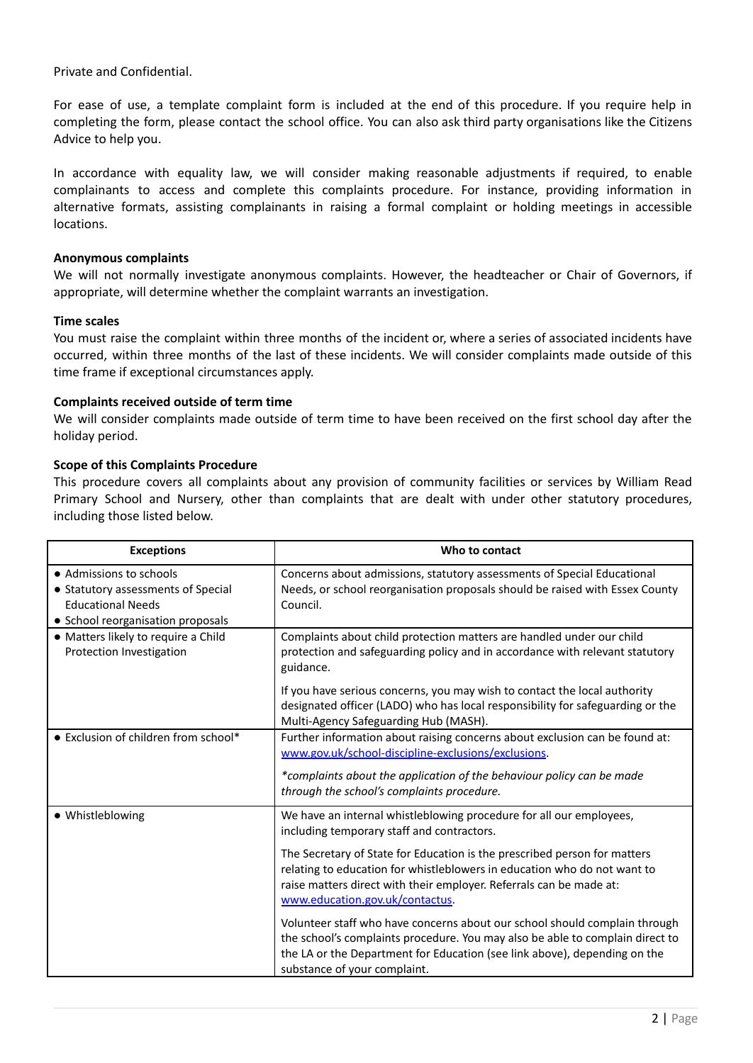Private and Confidential.

For ease of use, a template complaint form is included at the end of this procedure. If you require help in completing the form, please contact the school office. You can also ask third party organisations like the Citizens Advice to help you.

In accordance with equality law, we will consider making reasonable adjustments if required, to enable complainants to access and complete this complaints procedure. For instance, providing information in alternative formats, assisting complainants in raising a formal complaint or holding meetings in accessible locations.

#### **Anonymous complaints**

We will not normally investigate anonymous complaints. However, the headteacher or Chair of Governors, if appropriate, will determine whether the complaint warrants an investigation.

#### **Time scales**

You must raise the complaint within three months of the incident or, where a series of associated incidents have occurred, within three months of the last of these incidents. We will consider complaints made outside of this time frame if exceptional circumstances apply.

#### **Complaints received outside of term time**

We will consider complaints made outside of term time to have been received on the first school day after the holiday period.

## **Scope of this Complaints Procedure**

This procedure covers all complaints about any provision of community facilities or services by William Read Primary School and Nursery, other than complaints that are dealt with under other statutory procedures, including those listed below.

| <b>Exceptions</b>                                                                                                              | Who to contact                                                                                                                                                                                                                                                           |
|--------------------------------------------------------------------------------------------------------------------------------|--------------------------------------------------------------------------------------------------------------------------------------------------------------------------------------------------------------------------------------------------------------------------|
| • Admissions to schools<br>• Statutory assessments of Special<br><b>Educational Needs</b><br>• School reorganisation proposals | Concerns about admissions, statutory assessments of Special Educational<br>Needs, or school reorganisation proposals should be raised with Essex County<br>Council.                                                                                                      |
| • Matters likely to require a Child<br>Protection Investigation                                                                | Complaints about child protection matters are handled under our child<br>protection and safeguarding policy and in accordance with relevant statutory<br>guidance.                                                                                                       |
|                                                                                                                                | If you have serious concerns, you may wish to contact the local authority<br>designated officer (LADO) who has local responsibility for safeguarding or the<br>Multi-Agency Safeguarding Hub (MASH).                                                                     |
| • Exclusion of children from school*                                                                                           | Further information about raising concerns about exclusion can be found at:<br>www.gov.uk/school-discipline-exclusions/exclusions.                                                                                                                                       |
|                                                                                                                                | *complaints about the application of the behaviour policy can be made<br>through the school's complaints procedure.                                                                                                                                                      |
| · Whistleblowing                                                                                                               | We have an internal whistleblowing procedure for all our employees,<br>including temporary staff and contractors.                                                                                                                                                        |
|                                                                                                                                | The Secretary of State for Education is the prescribed person for matters<br>relating to education for whistleblowers in education who do not want to<br>raise matters direct with their employer. Referrals can be made at:<br>www.education.gov.uk/contactus.          |
|                                                                                                                                | Volunteer staff who have concerns about our school should complain through<br>the school's complaints procedure. You may also be able to complain direct to<br>the LA or the Department for Education (see link above), depending on the<br>substance of your complaint. |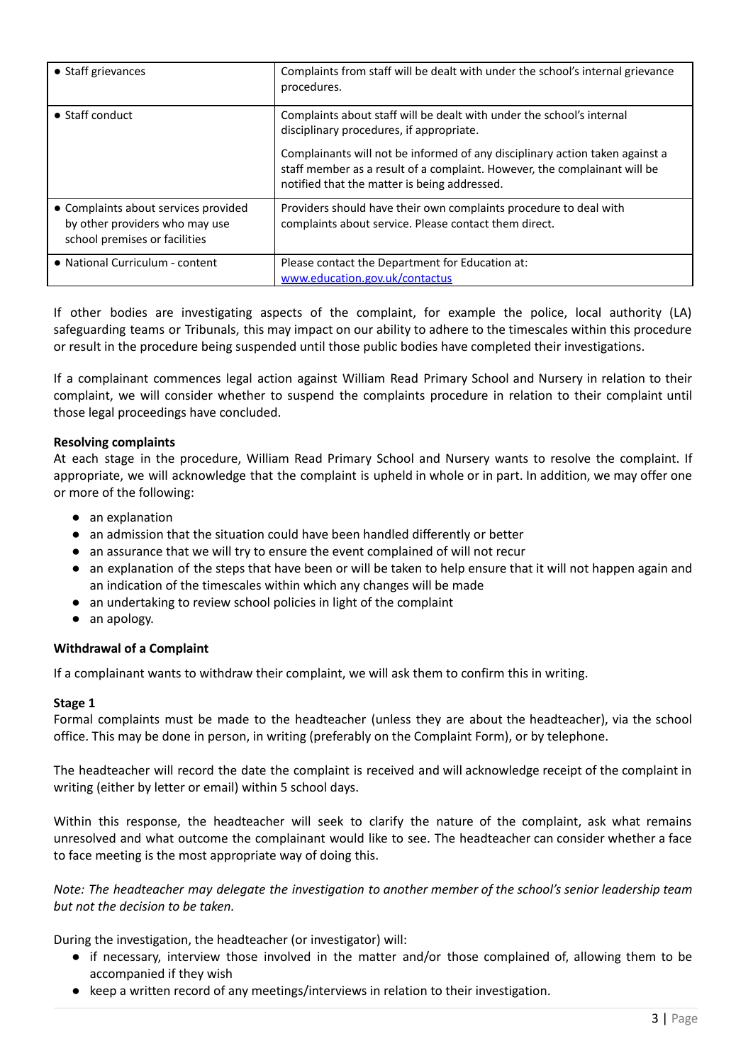| • Staff grievances                                                                                      | Complaints from staff will be dealt with under the school's internal grievance<br>procedures.                                                                                                             |
|---------------------------------------------------------------------------------------------------------|-----------------------------------------------------------------------------------------------------------------------------------------------------------------------------------------------------------|
| $\bullet$ Staff conduct                                                                                 | Complaints about staff will be dealt with under the school's internal<br>disciplinary procedures, if appropriate.                                                                                         |
|                                                                                                         | Complainants will not be informed of any disciplinary action taken against a<br>staff member as a result of a complaint. However, the complainant will be<br>notified that the matter is being addressed. |
| • Complaints about services provided<br>by other providers who may use<br>school premises or facilities | Providers should have their own complaints procedure to deal with<br>complaints about service. Please contact them direct.                                                                                |
| • National Curriculum - content                                                                         | Please contact the Department for Education at:<br>www.education.gov.uk/contactus                                                                                                                         |

If other bodies are investigating aspects of the complaint, for example the police, local authority (LA) safeguarding teams or Tribunals, this may impact on our ability to adhere to the timescales within this procedure or result in the procedure being suspended until those public bodies have completed their investigations.

If a complainant commences legal action against William Read Primary School and Nursery in relation to their complaint, we will consider whether to suspend the complaints procedure in relation to their complaint until those legal proceedings have concluded.

# **Resolving complaints**

At each stage in the procedure, William Read Primary School and Nursery wants to resolve the complaint. If appropriate, we will acknowledge that the complaint is upheld in whole or in part. In addition, we may offer one or more of the following:

- an explanation
- an admission that the situation could have been handled differently or better
- an assurance that we will try to ensure the event complained of will not recur
- an explanation of the steps that have been or will be taken to help ensure that it will not happen again and an indication of the timescales within which any changes will be made
- an undertaking to review school policies in light of the complaint
- an apology.

# **Withdrawal of a Complaint**

If a complainant wants to withdraw their complaint, we will ask them to confirm this in writing.

## **Stage 1**

Formal complaints must be made to the headteacher (unless they are about the headteacher), via the school office. This may be done in person, in writing (preferably on the Complaint Form), or by telephone.

The headteacher will record the date the complaint is received and will acknowledge receipt of the complaint in writing (either by letter or email) within 5 school days.

Within this response, the headteacher will seek to clarify the nature of the complaint, ask what remains unresolved and what outcome the complainant would like to see. The headteacher can consider whether a face to face meeting is the most appropriate way of doing this.

*Note: The headteacher may delegate the investigation to another member of the school's senior leadership team but not the decision to be taken.*

During the investigation, the headteacher (or investigator) will:

- if necessary, interview those involved in the matter and/or those complained of, allowing them to be accompanied if they wish
- keep a written record of any meetings/interviews in relation to their investigation.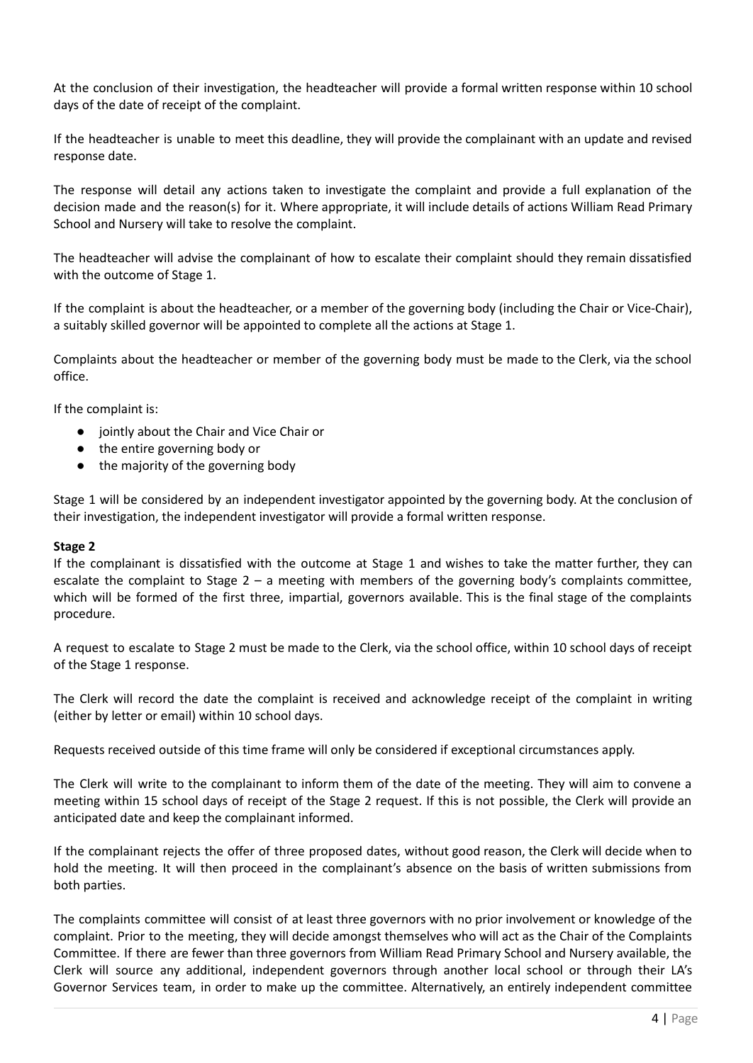At the conclusion of their investigation, the headteacher will provide a formal written response within 10 school days of the date of receipt of the complaint.

If the headteacher is unable to meet this deadline, they will provide the complainant with an update and revised response date.

The response will detail any actions taken to investigate the complaint and provide a full explanation of the decision made and the reason(s) for it. Where appropriate, it will include details of actions William Read Primary School and Nursery will take to resolve the complaint.

The headteacher will advise the complainant of how to escalate their complaint should they remain dissatisfied with the outcome of Stage 1.

If the complaint is about the headteacher, or a member of the governing body (including the Chair or Vice-Chair), a suitably skilled governor will be appointed to complete all the actions at Stage 1.

Complaints about the headteacher or member of the governing body must be made to the Clerk, via the school office.

If the complaint is:

- jointly about the Chair and Vice Chair or
- the entire governing body or
- the majority of the governing body

Stage 1 will be considered by an independent investigator appointed by the governing body. At the conclusion of their investigation, the independent investigator will provide a formal written response.

## **Stage 2**

If the complainant is dissatisfied with the outcome at Stage 1 and wishes to take the matter further, they can escalate the complaint to Stage 2 – a meeting with members of the governing body's complaints committee, which will be formed of the first three, impartial, governors available. This is the final stage of the complaints procedure.

A request to escalate to Stage 2 must be made to the Clerk, via the school office, within 10 school days of receipt of the Stage 1 response.

The Clerk will record the date the complaint is received and acknowledge receipt of the complaint in writing (either by letter or email) within 10 school days.

Requests received outside of this time frame will only be considered if exceptional circumstances apply.

The Clerk will write to the complainant to inform them of the date of the meeting. They will aim to convene a meeting within 15 school days of receipt of the Stage 2 request. If this is not possible, the Clerk will provide an anticipated date and keep the complainant informed.

If the complainant rejects the offer of three proposed dates, without good reason, the Clerk will decide when to hold the meeting. It will then proceed in the complainant's absence on the basis of written submissions from both parties.

The complaints committee will consist of at least three governors with no prior involvement or knowledge of the complaint. Prior to the meeting, they will decide amongst themselves who will act as the Chair of the Complaints Committee. If there are fewer than three governors from William Read Primary School and Nursery available, the Clerk will source any additional, independent governors through another local school or through their LA's Governor Services team, in order to make up the committee. Alternatively, an entirely independent committee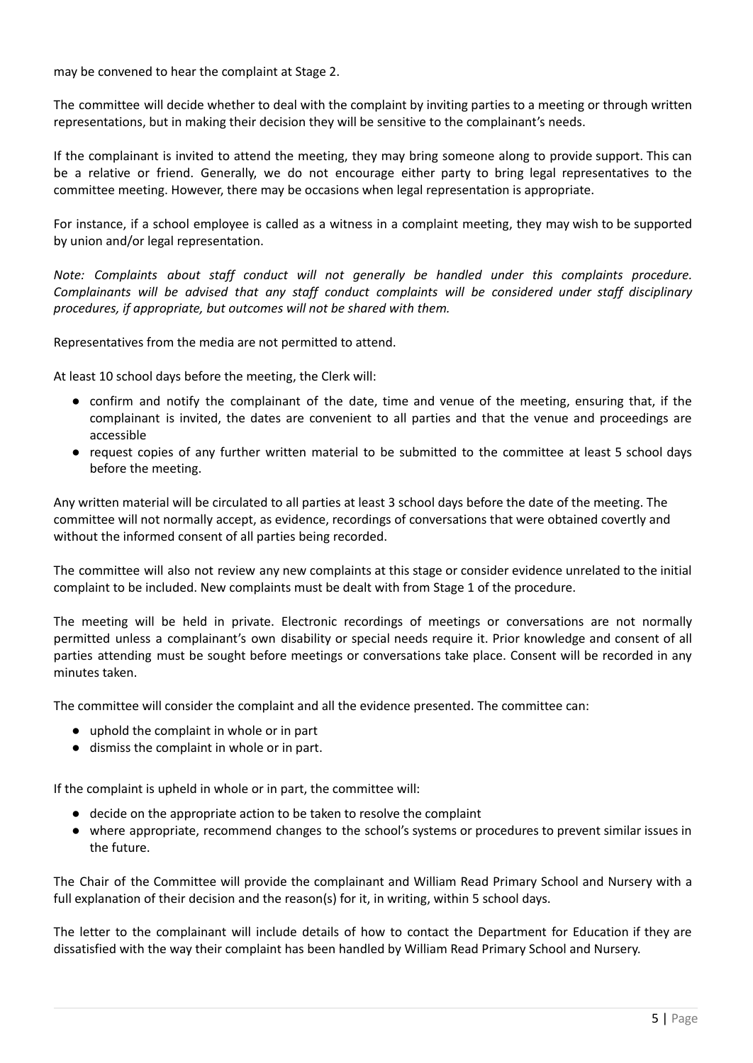may be convened to hear the complaint at Stage 2.

The committee will decide whether to deal with the complaint by inviting parties to a meeting or through written representations, but in making their decision they will be sensitive to the complainant's needs.

If the complainant is invited to attend the meeting, they may bring someone along to provide support. This can be a relative or friend. Generally, we do not encourage either party to bring legal representatives to the committee meeting. However, there may be occasions when legal representation is appropriate.

For instance, if a school employee is called as a witness in a complaint meeting, they may wish to be supported by union and/or legal representation.

*Note: Complaints about staff conduct will not generally be handled under this complaints procedure. Complainants will be advised that any staff conduct complaints will be considered under staff disciplinary procedures, if appropriate, but outcomes will not be shared with them.*

Representatives from the media are not permitted to attend.

At least 10 school days before the meeting, the Clerk will:

- confirm and notify the complainant of the date, time and venue of the meeting, ensuring that, if the complainant is invited, the dates are convenient to all parties and that the venue and proceedings are accessible
- request copies of any further written material to be submitted to the committee at least 5 school days before the meeting.

Any written material will be circulated to all parties at least 3 school days before the date of the meeting. The committee will not normally accept, as evidence, recordings of conversations that were obtained covertly and without the informed consent of all parties being recorded.

The committee will also not review any new complaints at this stage or consider evidence unrelated to the initial complaint to be included. New complaints must be dealt with from Stage 1 of the procedure.

The meeting will be held in private. Electronic recordings of meetings or conversations are not normally permitted unless a complainant's own disability or special needs require it. Prior knowledge and consent of all parties attending must be sought before meetings or conversations take place. Consent will be recorded in any minutes taken.

The committee will consider the complaint and all the evidence presented. The committee can:

- uphold the complaint in whole or in part
- dismiss the complaint in whole or in part.

If the complaint is upheld in whole or in part, the committee will:

- decide on the appropriate action to be taken to resolve the complaint
- where appropriate, recommend changes to the school's systems or procedures to prevent similar issues in the future.

The Chair of the Committee will provide the complainant and William Read Primary School and Nursery with a full explanation of their decision and the reason(s) for it, in writing, within 5 school days.

The letter to the complainant will include details of how to contact the Department for Education if they are dissatisfied with the way their complaint has been handled by William Read Primary School and Nursery.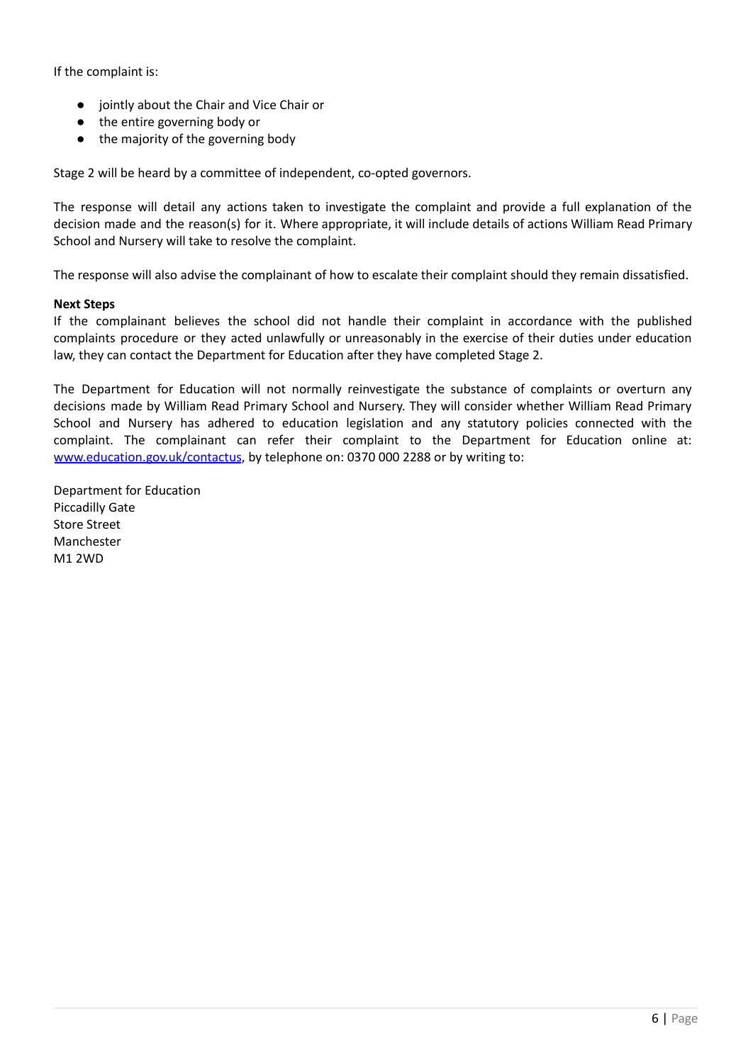If the complaint is:

- jointly about the Chair and Vice Chair or
- the entire governing body or
- the majority of the governing body

Stage 2 will be heard by a committee of independent, co-opted governors.

The response will detail any actions taken to investigate the complaint and provide a full explanation of the decision made and the reason(s) for it. Where appropriate, it will include details of actions William Read Primary School and Nursery will take to resolve the complaint.

The response will also advise the complainant of how to escalate their complaint should they remain dissatisfied.

# **Next Steps**

If the complainant believes the school did not handle their complaint in accordance with the published complaints procedure or they acted unlawfully or unreasonably in the exercise of their duties under education law, they can contact the Department for Education after they have completed Stage 2.

The Department for Education will not normally reinvestigate the substance of complaints or overturn any decisions made by William Read Primary School and Nursery. They will consider whether William Read Primary School and Nursery has adhered to education legislation and any statutory policies connected with the complaint. The complainant can refer their complaint to the Department for Education online at: [www.education.gov.uk/contactus](http://www.education.gov.uk/contactus), by telephone on: 0370 000 2288 or by writing to:

Department for Education Piccadilly Gate Store Street Manchester M1 2WD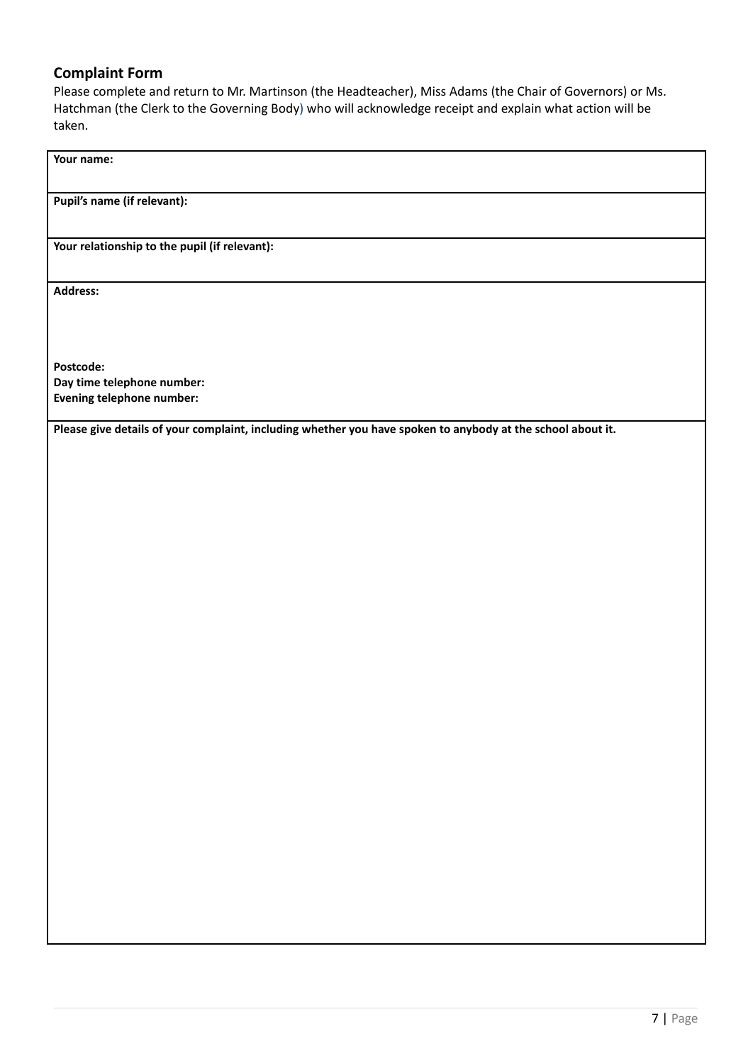# **Complaint Form**

Please complete and return to Mr. Martinson (the Headteacher), Miss Adams (the Chair of Governors) or Ms. Hatchman (the Clerk to the Governing Body) who will acknowledge receipt and explain what action will be taken.

| Your name:                                                                                                  |
|-------------------------------------------------------------------------------------------------------------|
|                                                                                                             |
| Pupil's name (if relevant):                                                                                 |
|                                                                                                             |
|                                                                                                             |
| Your relationship to the pupil (if relevant):                                                               |
|                                                                                                             |
| <b>Address:</b>                                                                                             |
|                                                                                                             |
|                                                                                                             |
|                                                                                                             |
|                                                                                                             |
| Postcode:                                                                                                   |
| Day time telephone number:                                                                                  |
| Evening telephone number:                                                                                   |
|                                                                                                             |
| Please give details of your complaint, including whether you have spoken to anybody at the school about it. |
|                                                                                                             |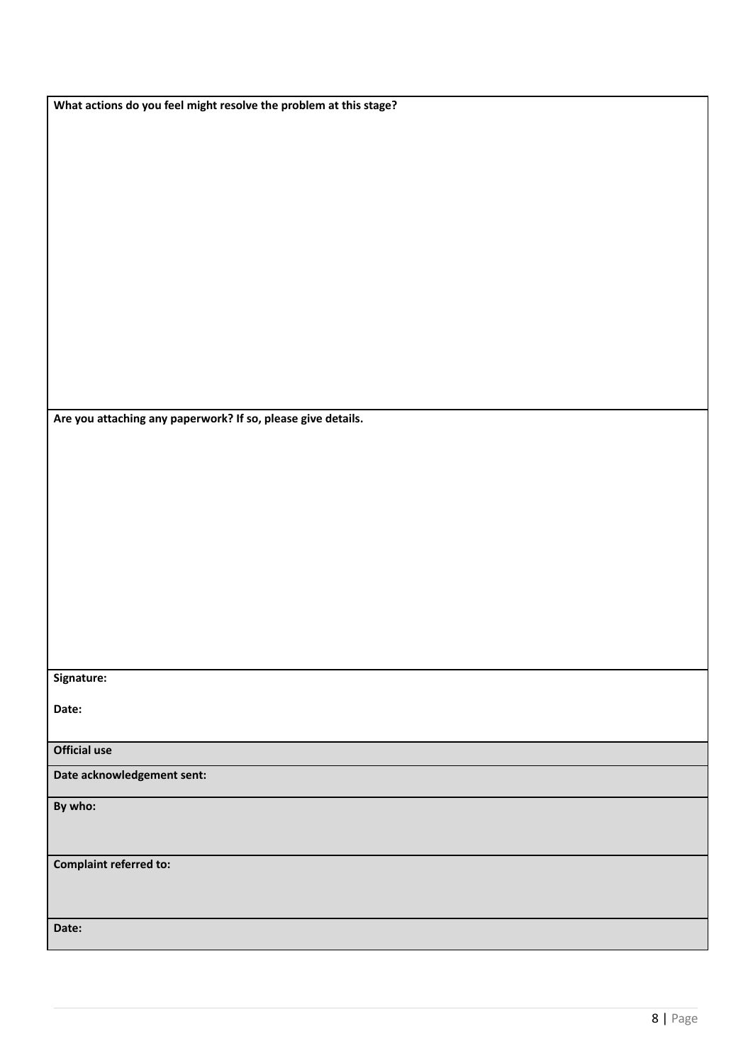| What actions do you feel might resolve the problem at this stage? |  |
|-------------------------------------------------------------------|--|
|-------------------------------------------------------------------|--|

**Are you attaching any paperwork? If so, please give details.**

**Signature:**

**Date:**

**Official use**

**Date acknowledgement sent:**

**By who:**

**Complaint referred to:**

**Date:**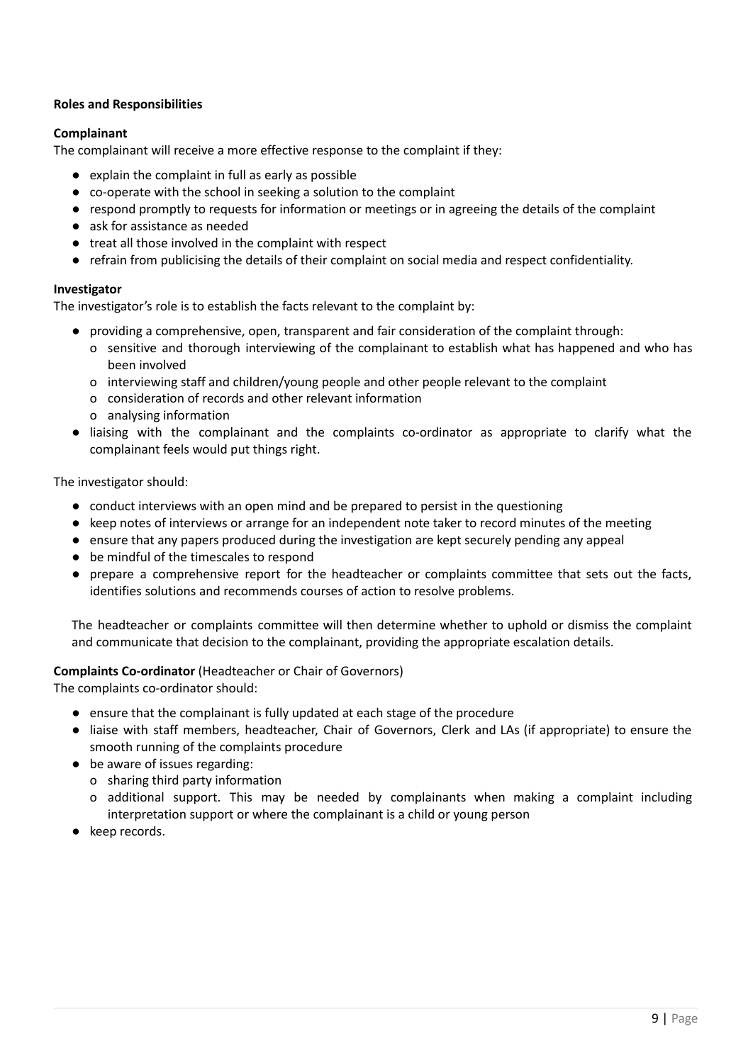# **Roles and Responsibilities**

# **Complainant**

The complainant will receive a more effective response to the complaint if they:

- explain the complaint in full as early as possible
- co-operate with the school in seeking a solution to the complaint
- respond promptly to requests for information or meetings or in agreeing the details of the complaint
- ask for assistance as needed
- treat all those involved in the complaint with respect
- refrain from publicising the details of their complaint on social media and respect confidentiality.

## **Investigator**

The investigator's role is to establish the facts relevant to the complaint by:

- providing a comprehensive, open, transparent and fair consideration of the complaint through:
	- o sensitive and thorough interviewing of the complainant to establish what has happened and who has been involved
	- o interviewing staff and children/young people and other people relevant to the complaint
	- o consideration of records and other relevant information
	- o analysing information
- liaising with the complainant and the complaints co-ordinator as appropriate to clarify what the complainant feels would put things right.

The investigator should:

- conduct interviews with an open mind and be prepared to persist in the questioning
- keep notes of interviews or arrange for an independent note taker to record minutes of the meeting
- ensure that any papers produced during the investigation are kept securely pending any appeal
- be mindful of the timescales to respond
- prepare a comprehensive report for the headteacher or complaints committee that sets out the facts, identifies solutions and recommends courses of action to resolve problems.

The headteacher or complaints committee will then determine whether to uphold or dismiss the complaint and communicate that decision to the complainant, providing the appropriate escalation details.

## **Complaints Co-ordinator** (Headteacher or Chair of Governors)

The complaints co-ordinator should:

- ensure that the complainant is fully updated at each stage of the procedure
- liaise with staff members, headteacher, Chair of Governors, Clerk and LAs (if appropriate) to ensure the smooth running of the complaints procedure
- be aware of issues regarding:
	- o sharing third party information
	- o additional support. This may be needed by complainants when making a complaint including interpretation support or where the complainant is a child or young person
- keep records.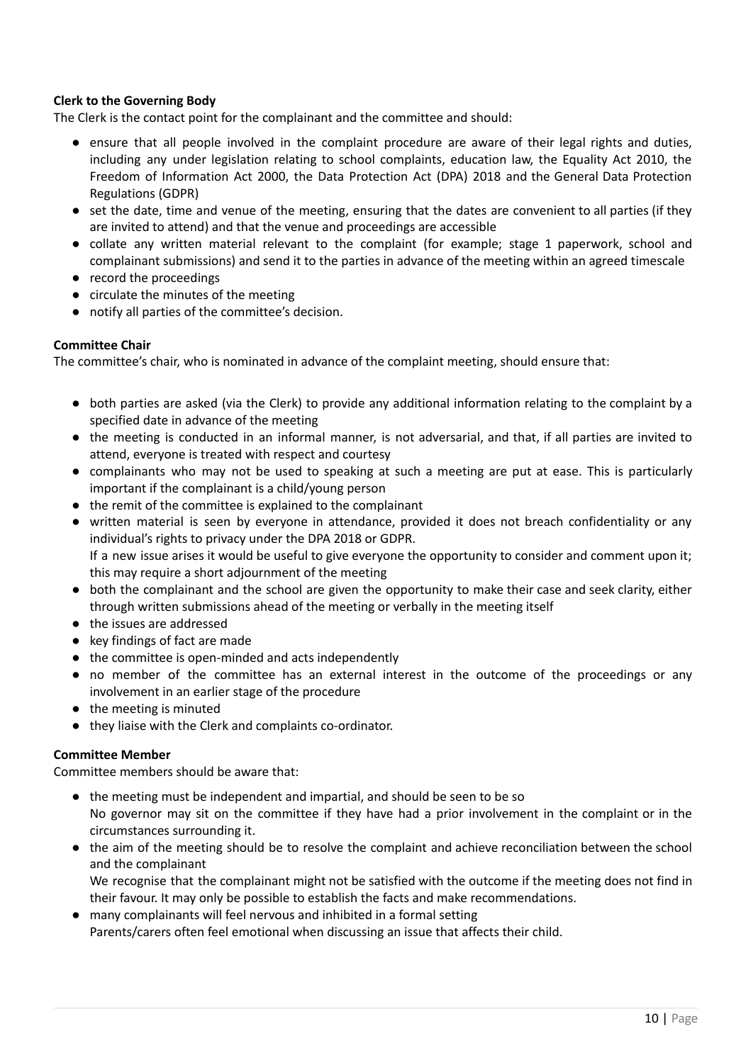# **Clerk to the Governing Body**

The Clerk is the contact point for the complainant and the committee and should:

- ensure that all people involved in the complaint procedure are aware of their legal rights and duties, including any under legislation relating to school complaints, education law, the Equality Act 2010, the Freedom of Information Act 2000, the Data Protection Act (DPA) 2018 and the General Data Protection Regulations (GDPR)
- set the date, time and venue of the meeting, ensuring that the dates are convenient to all parties (if they are invited to attend) and that the venue and proceedings are accessible
- collate any written material relevant to the complaint (for example; stage 1 paperwork, school and complainant submissions) and send it to the parties in advance of the meeting within an agreed timescale
- record the proceedings
- circulate the minutes of the meeting
- notify all parties of the committee's decision.

# **Committee Chair**

The committee's chair, who is nominated in advance of the complaint meeting, should ensure that:

- both parties are asked (via the Clerk) to provide any additional information relating to the complaint by a specified date in advance of the meeting
- the meeting is conducted in an informal manner, is not adversarial, and that, if all parties are invited to attend, everyone is treated with respect and courtesy
- complainants who may not be used to speaking at such a meeting are put at ease. This is particularly important if the complainant is a child/young person
- the remit of the committee is explained to the complainant
- written material is seen by everyone in attendance, provided it does not breach confidentiality or any individual's rights to privacy under the DPA 2018 or GDPR. If a new issue arises it would be useful to give everyone the opportunity to consider and comment upon it; this may require a short adjournment of the meeting
- both the complainant and the school are given the opportunity to make their case and seek clarity, either through written submissions ahead of the meeting or verbally in the meeting itself
- the issues are addressed
- key findings of fact are made
- the committee is open-minded and acts independently
- no member of the committee has an external interest in the outcome of the proceedings or any involvement in an earlier stage of the procedure
- the meeting is minuted
- they liaise with the Clerk and complaints co-ordinator.

## **Committee Member**

Committee members should be aware that:

- the meeting must be independent and impartial, and should be seen to be so No governor may sit on the committee if they have had a prior involvement in the complaint or in the circumstances surrounding it.
- the aim of the meeting should be to resolve the complaint and achieve reconciliation between the school and the complainant

We recognise that the complainant might not be satisfied with the outcome if the meeting does not find in their favour. It may only be possible to establish the facts and make recommendations.

● many complainants will feel nervous and inhibited in a formal setting Parents/carers often feel emotional when discussing an issue that affects their child.